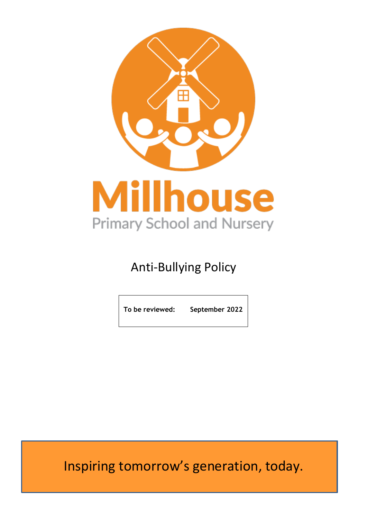

# Anti-Bullying Policy

**To be reviewed: September 2022**

Inspiring tomorrow's generation, today.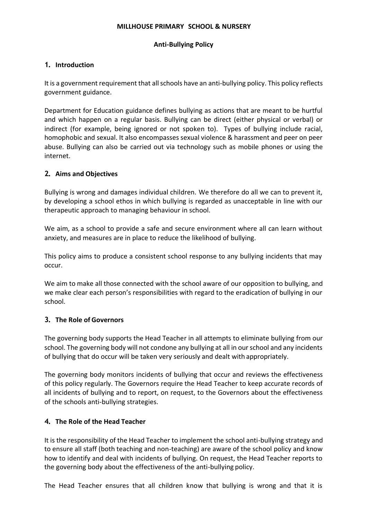#### **MILLHOUSE PRIMARY SCHOOL & NURSERY**

#### **Anti-Bullying Policy**

#### **1. Introduction**

It is a government requirement that all schools have an anti-bullying policy. This policy reflects government guidance.

Department for Education guidance defines bullying as actions that are meant to be hurtful and which happen on a regular basis. Bullying can be direct (either physical or verbal) or indirect (for example, being ignored or not spoken to). Types of bullying include racial, homophobic and sexual. It also encompasses sexual violence & harassment and peer on peer abuse. Bullying can also be carried out via technology such as mobile phones or using the internet.

#### **2. Aims and Objectives**

Bullying is wrong and damages individual children. We therefore do all we can to prevent it, by developing a school ethos in which bullying is regarded as unacceptable in line with our therapeutic approach to managing behaviour in school.

We aim, as a school to provide a safe and secure environment where all can learn without anxiety, and measures are in place to reduce the likelihood of bullying.

This policy aims to produce a consistent school response to any bullying incidents that may occur.

We aim to make all those connected with the school aware of our opposition to bullying, and we make clear each person's responsibilities with regard to the eradication of bullying in our school.

## **3. The Role of Governors**

The governing body supports the Head Teacher in all attempts to eliminate bullying from our school. The governing body will not condone any bullying at all in our school and any incidents of bullying that do occur will be taken very seriously and dealt with appropriately.

The governing body monitors incidents of bullying that occur and reviews the effectiveness of this policy regularly. The Governors require the Head Teacher to keep accurate records of all incidents of bullying and to report, on request, to the Governors about the effectiveness of the schools anti-bullying strategies.

## **4. The Role of the Head Teacher**

It is the responsibility of the Head Teacher to implement the school anti-bullying strategy and to ensure all staff (both teaching and non-teaching) are aware of the school policy and know how to identify and deal with incidents of bullying. On request, the Head Teacher reports to the governing body about the effectiveness of the anti-bullying policy.

The Head Teacher ensures that all children know that bullying is wrong and that it is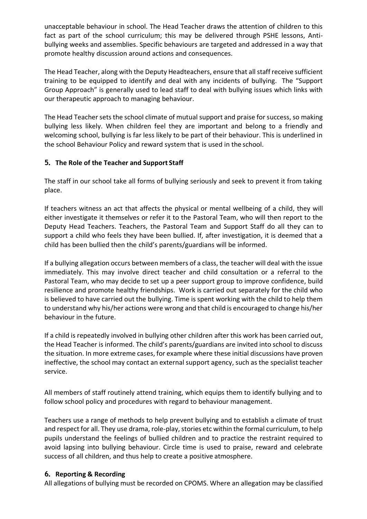unacceptable behaviour in school. The Head Teacher draws the attention of children to this fact as part of the school curriculum; this may be delivered through PSHE lessons, Antibullying weeks and assemblies. Specific behaviours are targeted and addressed in a way that promote healthy discussion around actions and consequences.

The Head Teacher, along with the Deputy Headteachers, ensure that all staff receive sufficient training to be equipped to identify and deal with any incidents of bullying. The "Support Group Approach" is generally used to lead staff to deal with bullying issues which links with our therapeutic approach to managing behaviour.

The Head Teacher sets the school climate of mutual support and praise for success, so making bullying less likely. When children feel they are important and belong to a friendly and welcoming school, bullying is far less likely to be part of their behaviour. This is underlined in the school Behaviour Policy and reward system that is used in the school.

# **5. The Role of the Teacher and Support Staff**

The staff in our school take all forms of bullying seriously and seek to prevent it from taking place.

If teachers witness an act that affects the physical or mental wellbeing of a child, they will either investigate it themselves or refer it to the Pastoral Team, who will then report to the Deputy Head Teachers. Teachers, the Pastoral Team and Support Staff do all they can to support a child who feels they have been bullied. If, after investigation, it is deemed that a child has been bullied then the child's parents/guardians will be informed.

If a bullying allegation occurs between members of a class, the teacher will deal with the issue immediately. This may involve direct teacher and child consultation or a referral to the Pastoral Team, who may decide to set up a peer support group to improve confidence, build resilience and promote healthy friendships. Work is carried out separately for the child who is believed to have carried out the bullying. Time is spent working with the child to help them to understand why his/her actions were wrong and that child is encouraged to change his/her behaviour in the future.

If a child is repeatedly involved in bullying other children after this work has been carried out, the Head Teacher is informed. The child's parents/guardians are invited into school to discuss the situation. In more extreme cases, for example where these initial discussions have proven ineffective, the school may contact an external support agency, such as the specialist teacher service.

All members of staff routinely attend training, which equips them to identify bullying and to follow school policy and procedures with regard to behaviour management.

Teachers use a range of methods to help prevent bullying and to establish a climate of trust and respect for all. They use drama, role-play, stories etc within the formal curriculum, to help pupils understand the feelings of bullied children and to practice the restraint required to avoid lapsing into bullying behaviour. Circle time is used to praise, reward and celebrate success of all children, and thus help to create a positive atmosphere.

## **6. Reporting & Recording**

All allegations of bullying must be recorded on CPOMS. Where an allegation may be classified